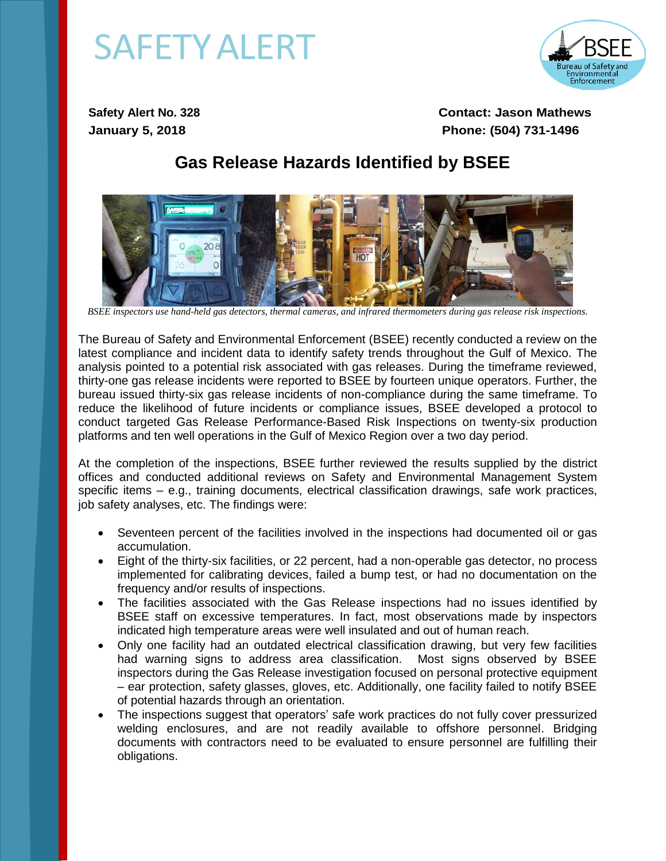## **SAFETY ALERT**



**Safety Alert No. 328 Contact: Jason Mathews January 5, 2018 Phone: (504) 731-1496** 

## **Gas Release Hazards Identified by BSEE**



*BSEE inspectors use hand-held gas detectors, thermal cameras, and infrared thermometers during gas release risk inspections.* 

The Bureau of Safety and Environmental Enforcement (BSEE) recently conducted a review on the latest compliance and incident data to identify safety trends throughout the Gulf of Mexico. The analysis pointed to a potential risk associated with gas releases. During the timeframe reviewed, thirty-one gas release incidents were reported to BSEE by fourteen unique operators. Further, the bureau issued thirty-six gas release incidents of non-compliance during the same timeframe. To reduce the likelihood of future incidents or compliance issues, BSEE developed a protocol to conduct targeted Gas Release Performance-Based Risk Inspections on twenty-six production platforms and ten well operations in the Gulf of Mexico Region over a two day period.

At the completion of the inspections, BSEE further reviewed the results supplied by the district offices and conducted additional reviews on Safety and Environmental Management System specific items – e.g., training documents, electrical classification drawings, safe work practices, job safety analyses, etc. The findings were:

- Seventeen percent of the facilities involved in the inspections had documented oil or gas accumulation.
- Eight of the thirty-six facilities, or 22 percent, had a non-operable gas detector, no process implemented for calibrating devices, failed a bump test, or had no documentation on the frequency and/or results of inspections.
- The facilities associated with the Gas Release inspections had no issues identified by BSEE staff on excessive temperatures. In fact, most observations made by inspectors indicated high temperature areas were well insulated and out of human reach.
- Only one facility had an outdated electrical classification drawing, but very few facilities had warning signs to address area classification. Most signs observed by BSEE inspectors during the Gas Release investigation focused on personal protective equipment – ear protection, safety glasses, gloves, etc. Additionally, one facility failed to notify BSEE of potential hazards through an orientation.
- The inspections suggest that operators' safe work practices do not fully cover pressurized welding enclosures, and are not readily available to offshore personnel. Bridging documents with contractors need to be evaluated to ensure personnel are fulfilling their obligations.